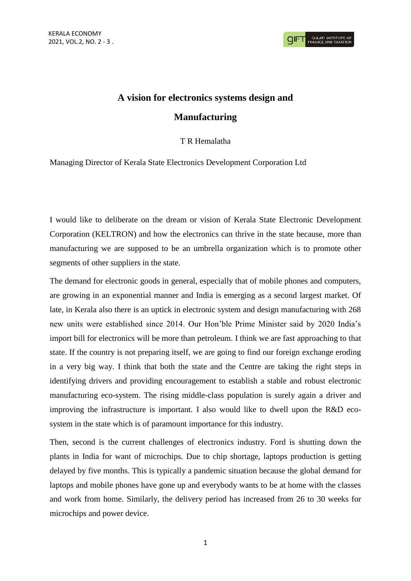## **A vision for electronics systems design and**

## **Manufacturing**

T R Hemalatha

Managing Director of Kerala State Electronics Development Corporation Ltd

I would like to deliberate on the dream or vision of Kerala State Electronic Development Corporation (KELTRON) and how the electronics can thrive in the state because, more than manufacturing we are supposed to be an umbrella organization which is to promote other segments of other suppliers in the state.

The demand for electronic goods in general, especially that of mobile phones and computers, are growing in an exponential manner and India is emerging as a second largest market. Of late, in Kerala also there is an uptick in electronic system and design manufacturing with 268 new units were established since 2014. Our Hon'ble Prime Minister said by 2020 India's import bill for electronics will be more than petroleum. I think we are fast approaching to that state. If the country is not preparing itself, we are going to find our foreign exchange eroding in a very big way. I think that both the state and the Centre are taking the right steps in identifying drivers and providing encouragement to establish a stable and robust electronic manufacturing eco-system. The rising middle-class population is surely again a driver and improving the infrastructure is important. I also would like to dwell upon the R&D ecosystem in the state which is of paramount importance for this industry.

Then, second is the current challenges of electronics industry. Ford is shutting down the plants in India for want of microchips. Due to chip shortage, laptops production is getting delayed by five months. This is typically a pandemic situation because the global demand for laptops and mobile phones have gone up and everybody wants to be at home with the classes and work from home. Similarly, the delivery period has increased from 26 to 30 weeks for microchips and power device.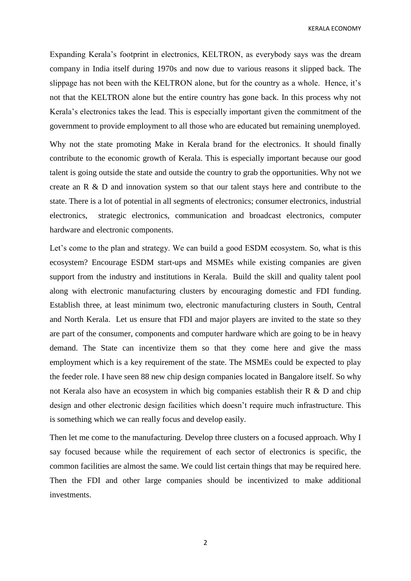KERALA ECONOMY

Expanding Kerala's footprint in electronics, KELTRON, as everybody says was the dream company in India itself during 1970s and now due to various reasons it slipped back. The slippage has not been with the KELTRON alone, but for the country as a whole. Hence, it's not that the KELTRON alone but the entire country has gone back. In this process why not Kerala's electronics takes the lead. This is especially important given the commitment of the government to provide employment to all those who are educated but remaining unemployed.

Why not the state promoting Make in Kerala brand for the electronics. It should finally contribute to the economic growth of Kerala. This is especially important because our good talent is going outside the state and outside the country to grab the opportunities. Why not we create an R & D and innovation system so that our talent stays here and contribute to the state. There is a lot of potential in all segments of electronics; consumer electronics, industrial electronics, strategic electronics, communication and broadcast electronics, computer hardware and electronic components.

Let's come to the plan and strategy. We can build a good ESDM ecosystem. So, what is this ecosystem? Encourage ESDM start-ups and MSMEs while existing companies are given support from the industry and institutions in Kerala. Build the skill and quality talent pool along with electronic manufacturing clusters by encouraging domestic and FDI funding. Establish three, at least minimum two, electronic manufacturing clusters in South, Central and North Kerala. Let us ensure that FDI and major players are invited to the state so they are part of the consumer, components and computer hardware which are going to be in heavy demand. The State can incentivize them so that they come here and give the mass employment which is a key requirement of the state. The MSMEs could be expected to play the feeder role. I have seen 88 new chip design companies located in Bangalore itself. So why not Kerala also have an ecosystem in which big companies establish their R & D and chip design and other electronic design facilities which doesn't require much infrastructure. This is something which we can really focus and develop easily.

Then let me come to the manufacturing. Develop three clusters on a focused approach. Why I say focused because while the requirement of each sector of electronics is specific, the common facilities are almost the same. We could list certain things that may be required here. Then the FDI and other large companies should be incentivized to make additional investments.

2